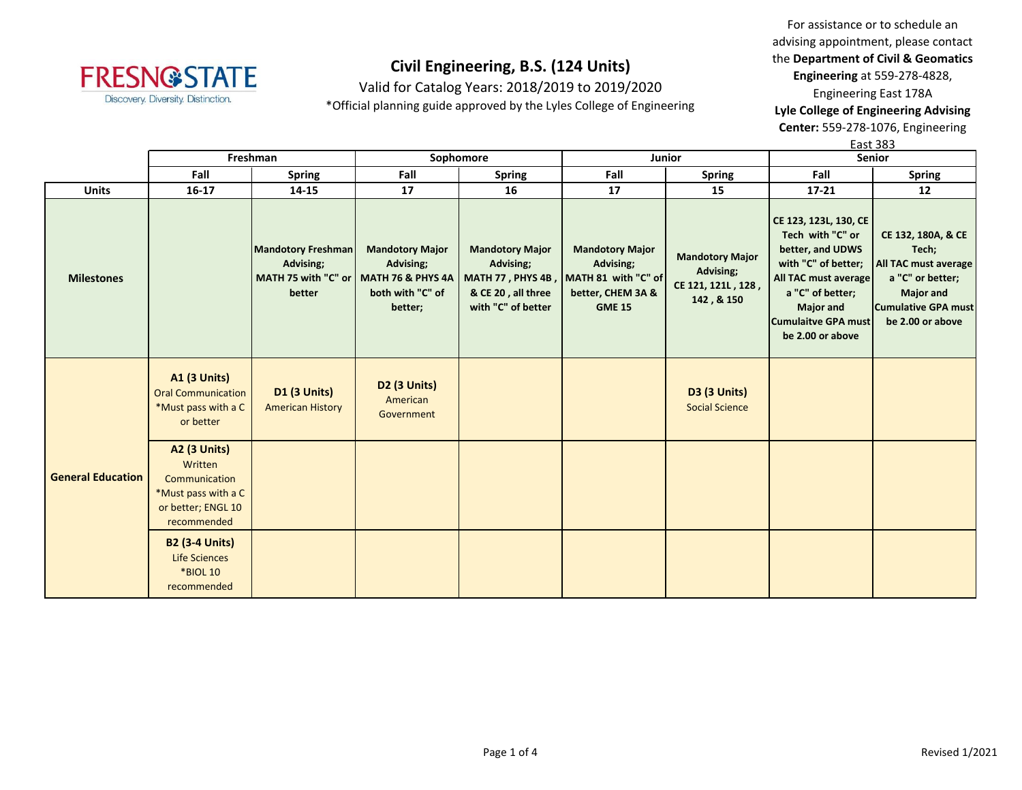

Valid for Catalog Years: 2018/2019 to 2019/2020

\*Official planning guide approved by the Lyles College of Engineering

For assistance or to schedule an advising appointment, please contact the **Department of Civil & Geomatics Engineering** at 559-278-4828, Engineering East 178A

**Lyle College of Engineering Advising Center:** 559-278-1076, Engineering

East 383

|                          |                                                                                                             | Freshman                                                                                    |                                                                    | Sophomore                                                                       | Junior                                                                                                             |                                                                         | Senior                                                                                                                                                                                                 |                                                                                                                                               |  |
|--------------------------|-------------------------------------------------------------------------------------------------------------|---------------------------------------------------------------------------------------------|--------------------------------------------------------------------|---------------------------------------------------------------------------------|--------------------------------------------------------------------------------------------------------------------|-------------------------------------------------------------------------|--------------------------------------------------------------------------------------------------------------------------------------------------------------------------------------------------------|-----------------------------------------------------------------------------------------------------------------------------------------------|--|
|                          | Fall                                                                                                        | <b>Spring</b>                                                                               | Fall                                                               | <b>Spring</b>                                                                   | Fall                                                                                                               | <b>Spring</b>                                                           | Fall                                                                                                                                                                                                   | <b>Spring</b>                                                                                                                                 |  |
| <b>Units</b>             | $16 - 17$                                                                                                   | 14-15                                                                                       | 17                                                                 | 16                                                                              | 17                                                                                                                 | 15                                                                      | $17 - 21$                                                                                                                                                                                              | 12                                                                                                                                            |  |
| <b>Milestones</b>        |                                                                                                             | <b>Mandotory Freshman</b><br>Advising;<br>MATH 75 with "C" or   MATH 76 & PHYS 4A<br>better | <b>Mandotory Major</b><br>Advising;<br>both with "C" of<br>better; | <b>Mandotory Major</b><br>Advising;<br>& CE 20, all three<br>with "C" of better | <b>Mandotory Major</b><br>Advising;<br>MATH 77, PHYS 4B, MATH 81 with "C" of<br>better, CHEM 3A &<br><b>GME 15</b> | <b>Mandotory Major</b><br>Advising;<br>CE 121, 121L, 128,<br>142, & 150 | CE 123, 123L, 130, CE<br>Tech with "C" or<br>better, and UDWS<br>with "C" of better;<br>All TAC must average<br>a "C" of better;<br><b>Major and</b><br><b>Cumulaitve GPA must</b><br>be 2.00 or above | CE 132, 180A, & CE<br>Tech;<br>All TAC must average<br>a "C" or better;<br><b>Major and</b><br><b>Cumulative GPA must</b><br>be 2.00 or above |  |
|                          | <b>A1 (3 Units)</b><br><b>Oral Communication</b><br>*Must pass with a C<br>or better                        | <b>D1 (3 Units)</b><br><b>American History</b>                                              | D <sub>2</sub> (3 Units)<br>American<br>Government                 |                                                                                 |                                                                                                                    | <b>D3 (3 Units)</b><br><b>Social Science</b>                            |                                                                                                                                                                                                        |                                                                                                                                               |  |
| <b>General Education</b> | <b>A2 (3 Units)</b><br>Written<br>Communication<br>*Must pass with a C<br>or better; ENGL 10<br>recommended |                                                                                             |                                                                    |                                                                                 |                                                                                                                    |                                                                         |                                                                                                                                                                                                        |                                                                                                                                               |  |
|                          | <b>B2 (3-4 Units)</b><br><b>Life Sciences</b><br><b>*BIOL 10</b><br>recommended                             |                                                                                             |                                                                    |                                                                                 |                                                                                                                    |                                                                         |                                                                                                                                                                                                        |                                                                                                                                               |  |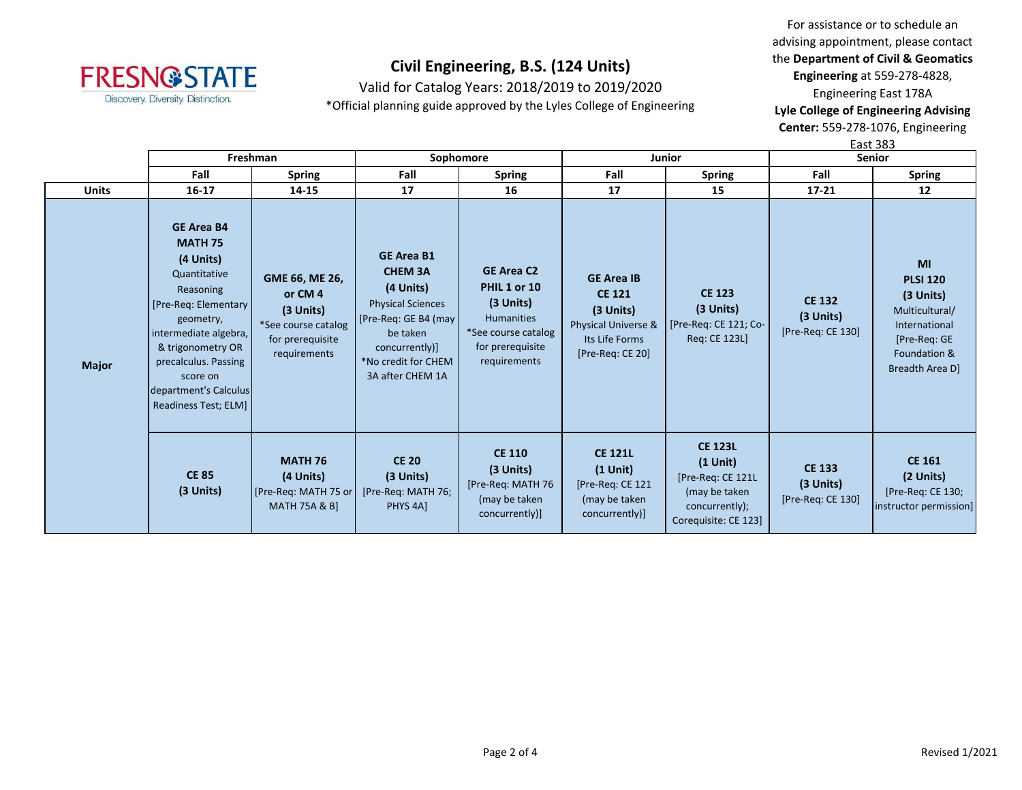

Valid for Catalog Years: 2018/2019 to 2019/2020

\*Official planning guide approved by the Lyles College of Engineering

For assistance or to schedule an advising appointment, please contact the **Department of Civil & Geomatics Engineering** at 559-278-4828, Engineering East 178A **Lyle College of Engineering Advising Center:** 559-278-1076, Engineering

East 383

|              | Freshman                                                                                                                                                                                                                                               |                                                                                                    | Sophomore                                                                                                                                                                     |                                                                                                                                  |                                                                                                                | <b>Junior</b>                                                                                                | <b>Senior</b>                                     |                                                                                                                            |
|--------------|--------------------------------------------------------------------------------------------------------------------------------------------------------------------------------------------------------------------------------------------------------|----------------------------------------------------------------------------------------------------|-------------------------------------------------------------------------------------------------------------------------------------------------------------------------------|----------------------------------------------------------------------------------------------------------------------------------|----------------------------------------------------------------------------------------------------------------|--------------------------------------------------------------------------------------------------------------|---------------------------------------------------|----------------------------------------------------------------------------------------------------------------------------|
|              | Fall                                                                                                                                                                                                                                                   | <b>Spring</b>                                                                                      | Fall                                                                                                                                                                          | <b>Spring</b>                                                                                                                    | Fall                                                                                                           | Spring                                                                                                       | Fall                                              | <b>Spring</b>                                                                                                              |
| <b>Units</b> | $16 - 17$                                                                                                                                                                                                                                              | 14-15                                                                                              | 17                                                                                                                                                                            | 16                                                                                                                               | 17                                                                                                             | 15                                                                                                           | $17 - 21$                                         | $12 \overline{ }$                                                                                                          |
| <b>Major</b> | <b>GE Area B4</b><br><b>MATH 75</b><br>(4 Units)<br>Quantitative<br>Reasoning<br>[Pre-Req: Elementary]<br>geometry,<br>intermediate algebra,<br>& trigonometry OR<br>precalculus. Passing<br>score on<br>department's Calculus<br>Readiness Test; ELM] | GME 66, ME 26,<br>or CM4<br>$(3$ Units)<br>*See course catalog<br>for prerequisite<br>requirements | <b>GE Area B1</b><br><b>CHEM 3A</b><br>(4 Units)<br><b>Physical Sciences</b><br>[Pre-Req: GE B4 (may<br>be taken<br>concurrently)]<br>*No credit for CHEM<br>3A after CHEM 1A | <b>GE Area C2</b><br><b>PHIL 1 or 10</b><br>$(3$ Units)<br>Humanities<br>*See course catalog<br>for prerequisite<br>requirements | <b>GE Area IB</b><br><b>CE 121</b><br>$(3$ Units)<br>Physical Universe &<br>Its Life Forms<br>[Pre-Req: CE 20] | <b>CE 123</b><br>(3 Units)<br>[Pre-Req: CE 121; Co-<br>Reg: CE 123L]                                         | <b>CE 132</b><br>(3 Units)<br>[Pre-Req: CE 130]   | MI<br><b>PLSI 120</b><br>$(3$ Units)<br>Multicultural/<br>International<br>[Pre-Req: GE<br>Foundation &<br>Breadth Area D] |
|              | <b>CE 85</b><br>$(3$ Units)                                                                                                                                                                                                                            | <b>MATH 76</b><br>(4 Units)<br>[Pre-Req: MATH 75 or<br><b>MATH 75A &amp; B]</b>                    | <b>CE 20</b><br>$(3$ Units)<br>[Pre-Req: MATH 76;<br>PHYS 4A]                                                                                                                 | <b>CE 110</b><br>$(3$ Units)<br>[Pre-Req: MATH 76<br>(may be taken<br>concurrently)]                                             | <b>CE 121L</b><br>$(1$ Unit)<br>[Pre-Req: CE 121<br>(may be taken<br>concurrently)]                            | <b>CE 123L</b><br>$(1$ Unit)<br>[Pre-Req: CE 121L<br>(may be taken<br>concurrently);<br>Corequisite: CE 123] | <b>CE 133</b><br>$(3$ Units)<br>[Pre-Req: CE 130] | <b>CE 161</b><br>(2 Units)<br>[Pre-Req: CE 130;<br>instructor permission]                                                  |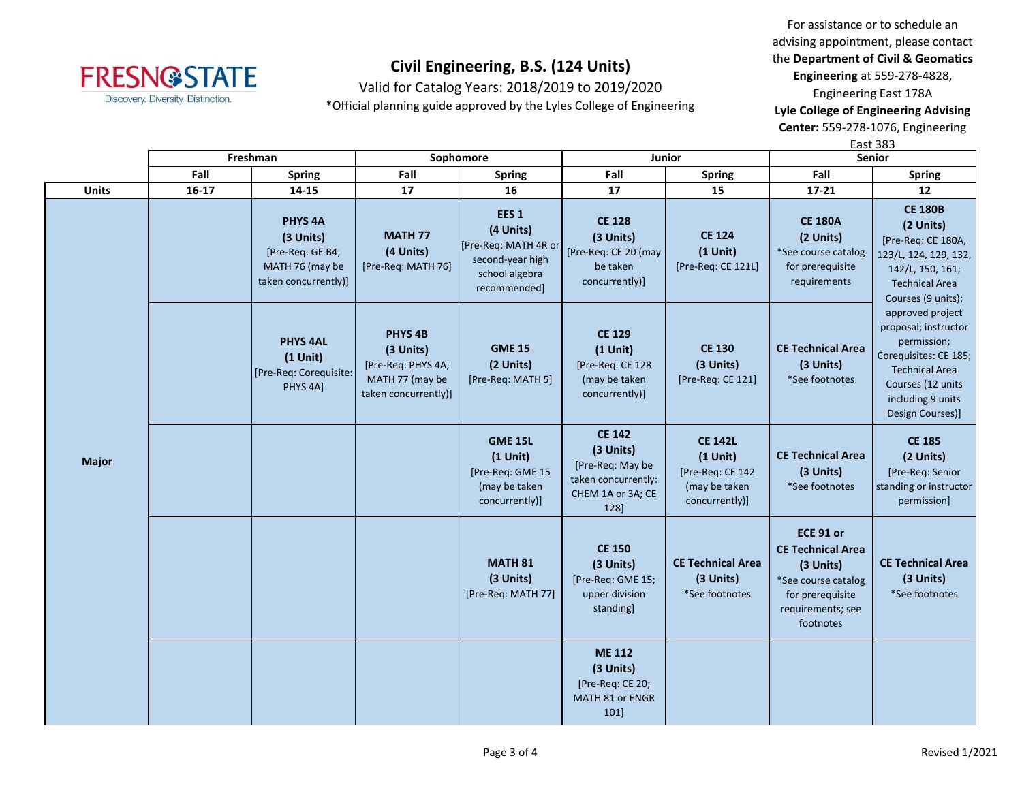

Valid for Catalog Years: 2018/2019 to 2019/2020

\*Official planning guide approved by the Lyles College of Engineering

For assistance or to schedule an advising appointment, please contact the **Department of Civil & Geomatics Engineering** at 559-278-4828, Engineering East 178A **Lyle College of Engineering Advising** 

**Center:** 559-278-1076, Engineering

|              |           |                                                                                            |                                                                                                  |                                                                                                             |                                                                                                    |                                                                                     | <b>East 383</b>                                                                                                                 |                                                                                                                                                                         |  |
|--------------|-----------|--------------------------------------------------------------------------------------------|--------------------------------------------------------------------------------------------------|-------------------------------------------------------------------------------------------------------------|----------------------------------------------------------------------------------------------------|-------------------------------------------------------------------------------------|---------------------------------------------------------------------------------------------------------------------------------|-------------------------------------------------------------------------------------------------------------------------------------------------------------------------|--|
|              |           | Freshman                                                                                   | Sophomore                                                                                        |                                                                                                             |                                                                                                    | Junior                                                                              |                                                                                                                                 | <b>Senior</b>                                                                                                                                                           |  |
|              | Fall      | <b>Spring</b>                                                                              | Fall                                                                                             | <b>Spring</b>                                                                                               | Fall                                                                                               | <b>Spring</b>                                                                       | Fall                                                                                                                            | <b>Spring</b>                                                                                                                                                           |  |
| <b>Units</b> | $16 - 17$ | 14-15                                                                                      | 17                                                                                               | 16                                                                                                          | 17                                                                                                 | 15                                                                                  | $17 - 21$                                                                                                                       | 12                                                                                                                                                                      |  |
|              |           | <b>PHYS 4A</b><br>(3 Units)<br>[Pre-Req: GE B4;<br>MATH 76 (may be<br>taken concurrently)] | <b>MATH 77</b><br>(4 Units)<br>[Pre-Req: MATH 76]                                                | EES <sub>1</sub><br>(4 Units)<br>[Pre-Req: MATH 4R or<br>second-year high<br>school algebra<br>recommended] | <b>CE 128</b><br>(3 Units)<br>[Pre-Req: CE 20 (may<br>be taken<br>concurrently)]                   | <b>CE 124</b><br>$(1$ Unit)<br>[Pre-Req: CE 121L]                                   | <b>CE 180A</b><br>(2 Units)<br>*See course catalog<br>for prerequisite<br>requirements                                          | <b>CE 180B</b><br>(2 Units)<br>[Pre-Req: CE 180A,<br>123/L, 124, 129, 132,<br>142/L, 150, 161;<br><b>Technical Area</b><br>Courses (9 units);                           |  |
|              |           | <b>PHYS 4AL</b><br>$(1$ Unit)<br>[Pre-Req: Corequisite:<br>PHYS 4A]                        | PHYS <sub>4B</sub><br>(3 Units)<br>[Pre-Req: PHYS 4A;<br>MATH 77 (may be<br>taken concurrently)] | <b>GME 15</b><br>(2 Units)<br>[Pre-Req: MATH 5]                                                             | <b>CE 129</b><br>$(1$ Unit)<br>[Pre-Req: CE 128<br>(may be taken<br>concurrently)]                 | <b>CE 130</b><br>(3 Units)<br>[Pre-Req: CE 121]                                     | <b>CE Technical Area</b><br>(3 Units)<br>*See footnotes                                                                         | approved project<br>proposal; instructor<br>permission;<br>Corequisites: CE 185;<br><b>Technical Area</b><br>Courses (12 units<br>including 9 units<br>Design Courses)] |  |
| <b>Major</b> |           |                                                                                            |                                                                                                  | <b>GME 15L</b><br>$(1$ Unit)<br>[Pre-Req: GME 15<br>(may be taken<br>concurrently)]                         | <b>CE 142</b><br>(3 Units)<br>[Pre-Req: May be<br>taken concurrently:<br>CHEM 1A or 3A; CE<br>128] | <b>CE 142L</b><br>$(1$ Unit)<br>[Pre-Req: CE 142<br>(may be taken<br>concurrently)] | <b>CE Technical Area</b><br>(3 Units)<br>*See footnotes                                                                         | <b>CE 185</b><br>(2 Units)<br>[Pre-Req: Senior<br>standing or instructor<br>permission]                                                                                 |  |
|              |           |                                                                                            |                                                                                                  | <b>MATH 81</b><br>(3 Units)<br>[Pre-Req: MATH 77]                                                           | <b>CE 150</b><br>(3 Units)<br>[Pre-Req: GME 15;<br>upper division<br>standing]                     | <b>CE Technical Area</b><br>(3 Units)<br>*See footnotes                             | ECE 91 or<br><b>CE Technical Area</b><br>(3 Units)<br>*See course catalog<br>for prerequisite<br>requirements; see<br>footnotes | <b>CE Technical Area</b><br>(3 Units)<br>*See footnotes                                                                                                                 |  |
|              |           |                                                                                            |                                                                                                  |                                                                                                             | <b>ME 112</b><br>(3 Units)<br>[Pre-Req: CE 20;<br>MATH 81 or ENGR<br>101]                          |                                                                                     |                                                                                                                                 |                                                                                                                                                                         |  |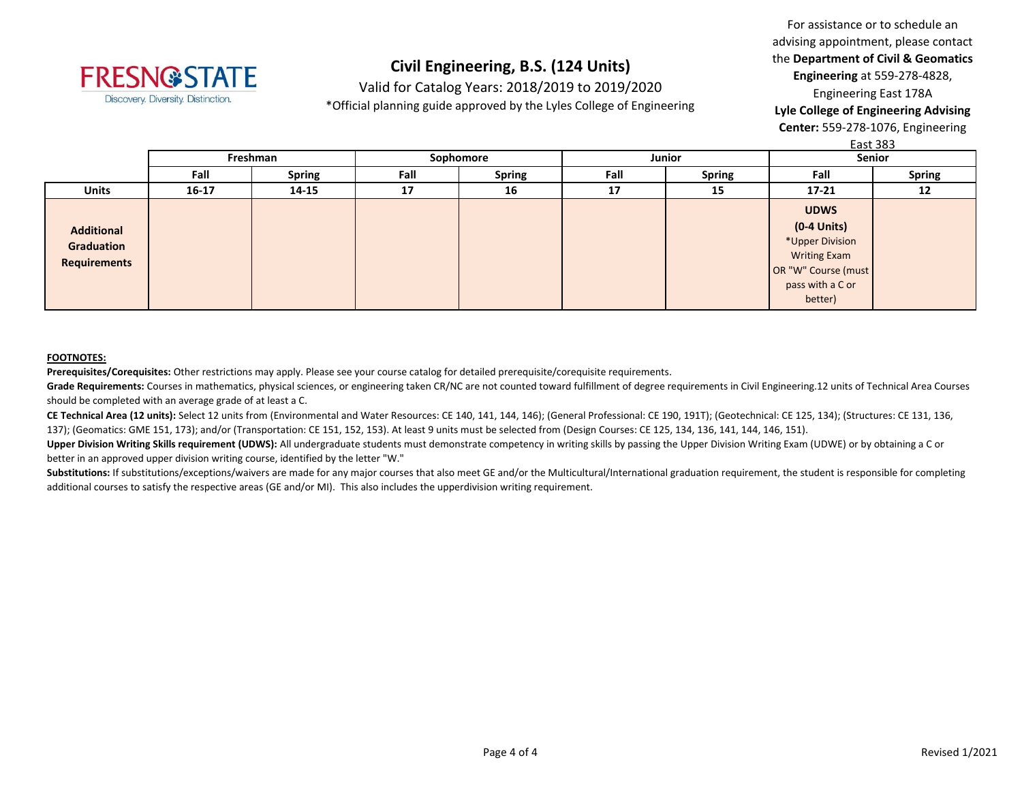

Valid for Catalog Years: 2018/2019 to 2019/2020

\*Official planning guide approved by the Lyles College of Engineering

For assistance or to schedule an advising appointment, please contact the **Department of Civil & Geomatics Engineering** at 559-278-4828, Engineering East 178A **Lyle College of Engineering Advising Center:** 559-278-1076, Engineering

 $E$ act 202

|                                                        | Last ၁၀၁              |       |                       |    |      |               |                                                                                                                              |               |  |  |
|--------------------------------------------------------|-----------------------|-------|-----------------------|----|------|---------------|------------------------------------------------------------------------------------------------------------------------------|---------------|--|--|
|                                                        | Freshman              |       | Sophomore             |    |      | Junior        | Senior                                                                                                                       |               |  |  |
|                                                        | <b>Spring</b><br>Fall |       | Fall<br><b>Spring</b> |    | Fall | <b>Spring</b> |                                                                                                                              | <b>Spring</b> |  |  |
| <b>Units</b>                                           | $16 - 17$             | 14-15 | 17                    | 16 | 17   | 15            | $17 - 21$                                                                                                                    | 12            |  |  |
| <b>Additional</b><br>Graduation<br><b>Requirements</b> |                       |       |                       |    |      |               | <b>UDWS</b><br>$(0-4$ Units)<br>*Upper Division<br><b>Writing Exam</b><br>OR "W" Course (must<br>pass with a C or<br>better) |               |  |  |

#### **FOOTNOTES:**

**Prerequisites/Corequisites:** Other restrictions may apply. Please see your course catalog for detailed prerequisite/corequisite requirements.

Grade Requirements: Courses in mathematics, physical sciences, or engineering taken CR/NC are not counted toward fulfillment of degree requirements in Civil Engineering.12 units of Technical Area Courses should be completed with an average grade of at least a C.

**CE Technical Area (12 units):** Select 12 units from (Environmental and Water Resources: CE 140, 141, 144, 146); (General Professional: CE 190, 191T); (Geotechnical: CE 125, 134); (Structures: CE 131, 136, 137); (Geomatics: GME 151, 173); and/or (Transportation: CE 151, 152, 153). At least 9 units must be selected from (Design Courses: CE 125, 134, 136, 141, 144, 146, 151).

Upper Division Writing Skills requirement (UDWS): All undergraduate students must demonstrate competency in writing skills by passing the Upper Division Writing Exam (UDWE) or by obtaining a C or better in an approved upper division writing course, identified by the letter "W."

Substitutions: If substitutions/exceptions/waivers are made for any major courses that also meet GE and/or the Multicultural/International graduation requirement, the student is responsible for completing additional courses to satisfy the respective areas (GE and/or MI). This also includes the upperdivision writing requirement.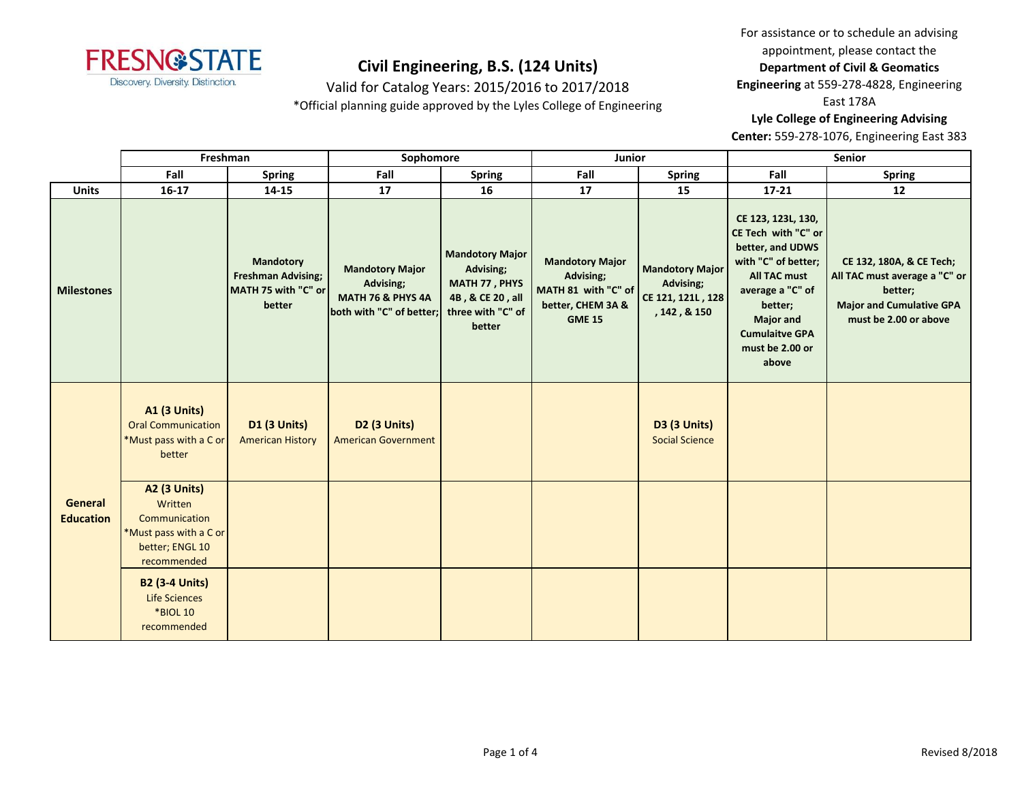

Valid for Catalog Years: 2015/2016 to 2017/2018

\*Official planning guide approved by the Lyles College of Engineering

For assistance or to schedule an advising appointment, please contact the **Department of Civil & Geomatics** 

**Engineering** at 559-278-4828, Engineering

East 178A

**Lyle College of Engineering Advising** 

**Center:** 559-278-1076, Engineering East 383

| Freshman          |                                                                                      | Sophomore                                                                      |                                                                                                 | Junior                                                                                                  |                                                                                                  | Senior                                                                   |                                                                                                                                                                                                                     |                                                                                                                                  |
|-------------------|--------------------------------------------------------------------------------------|--------------------------------------------------------------------------------|-------------------------------------------------------------------------------------------------|---------------------------------------------------------------------------------------------------------|--------------------------------------------------------------------------------------------------|--------------------------------------------------------------------------|---------------------------------------------------------------------------------------------------------------------------------------------------------------------------------------------------------------------|----------------------------------------------------------------------------------------------------------------------------------|
|                   | Fall                                                                                 | <b>Spring</b>                                                                  | Fall                                                                                            | <b>Spring</b>                                                                                           | Fall                                                                                             | <b>Spring</b>                                                            | Fall                                                                                                                                                                                                                | <b>Spring</b>                                                                                                                    |
| <b>Units</b>      | $16-17$                                                                              | 14-15                                                                          | 17                                                                                              | 16                                                                                                      | 17                                                                                               | 15                                                                       | $17 - 21$                                                                                                                                                                                                           | 12                                                                                                                               |
| <b>Milestones</b> |                                                                                      | <b>Mandotory</b><br><b>Freshman Advising;</b><br>MATH 75 with "C" or<br>better | <b>Mandotory Major</b><br>Advising;<br><b>MATH 76 &amp; PHYS 4A</b><br>both with "C" of better; | <b>Mandotory Major</b><br>Advising;<br>MATH 77, PHYS<br>4B, & CE 20, all<br>three with "C" of<br>better | <b>Mandotory Major</b><br>Advising;<br>MATH 81 with "C" of<br>better, CHEM 3A &<br><b>GME 15</b> | <b>Mandotory Major</b><br>Advising;<br>CE 121, 121L, 128<br>, 142, & 150 | CE 123, 123L, 130,<br>CE Tech with "C" or<br>better, and UDWS<br>with "C" of better;<br><b>All TAC must</b><br>average a "C" of<br>better;<br><b>Major and</b><br><b>Cumulaitve GPA</b><br>must be 2.00 or<br>above | CE 132, 180A, & CE Tech;<br>All TAC must average a "C" or<br>better;<br><b>Major and Cumulative GPA</b><br>must be 2.00 or above |
|                   | <b>A1 (3 Units)</b><br><b>Oral Communication</b><br>*Must pass with a C or<br>better | <b>D1 (3 Units)</b><br><b>American History</b>                                 | <b>D2 (3 Units)</b><br><b>American Government</b>                                               |                                                                                                         |                                                                                                  | <b>D3 (3 Units)</b><br><b>Social Science</b>                             |                                                                                                                                                                                                                     |                                                                                                                                  |
| General           | <b>A2 (3 Units)</b><br>Written                                                       |                                                                                |                                                                                                 |                                                                                                         |                                                                                                  |                                                                          |                                                                                                                                                                                                                     |                                                                                                                                  |
| <b>Education</b>  | Communication<br>*Must pass with a C or<br>better; ENGL 10<br>recommended            |                                                                                |                                                                                                 |                                                                                                         |                                                                                                  |                                                                          |                                                                                                                                                                                                                     |                                                                                                                                  |
|                   | <b>B2 (3-4 Units)</b><br><b>Life Sciences</b><br><b>*BIOL 10</b><br>recommended      |                                                                                |                                                                                                 |                                                                                                         |                                                                                                  |                                                                          |                                                                                                                                                                                                                     |                                                                                                                                  |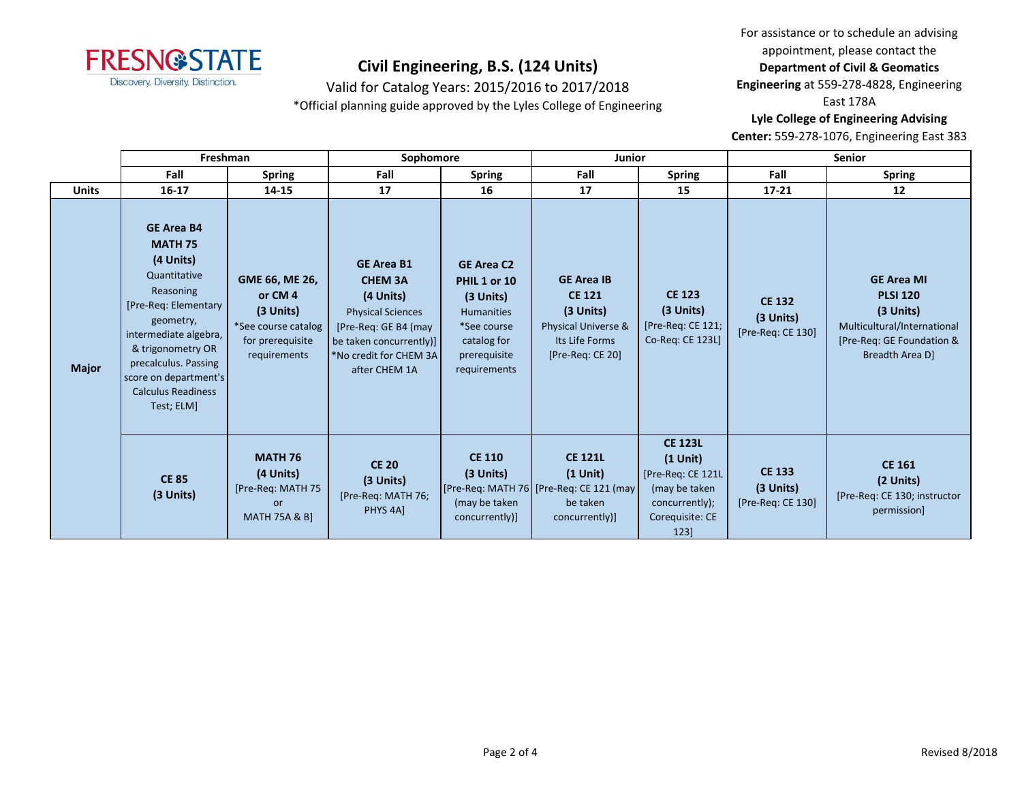

Valid for Catalog Years: 2015/2016 to 2017/2018

\*Official planning guide approved by the Lyles College of Engineering

For assistance or to schedule an advising appointment, please contact the **Department of Civil & Geomatics** 

**Engineering** at 559-278-4828, Engineering

East 178A

**Lyle College of Engineering Advising** 

**Center:** 559-278-1076, Engineering East 383

|              | Freshman                                                                                                                                                                                                                                                     |                                                                                                  | Sophomore                                                                                                                                                                  |                                                                                                                                     | Junior                                                                                                         |                                                                                                                 | <b>Senior</b>                                     |                                                                                                                                    |
|--------------|--------------------------------------------------------------------------------------------------------------------------------------------------------------------------------------------------------------------------------------------------------------|--------------------------------------------------------------------------------------------------|----------------------------------------------------------------------------------------------------------------------------------------------------------------------------|-------------------------------------------------------------------------------------------------------------------------------------|----------------------------------------------------------------------------------------------------------------|-----------------------------------------------------------------------------------------------------------------|---------------------------------------------------|------------------------------------------------------------------------------------------------------------------------------------|
|              | Fall                                                                                                                                                                                                                                                         | <b>Spring</b>                                                                                    | Fall                                                                                                                                                                       | <b>Spring</b>                                                                                                                       | Fall                                                                                                           | <b>Spring</b>                                                                                                   | Fall                                              | <b>Spring</b>                                                                                                                      |
| <b>Units</b> | $16 - 17$                                                                                                                                                                                                                                                    | 14-15                                                                                            | 17                                                                                                                                                                         | 16                                                                                                                                  | 17                                                                                                             | 15                                                                                                              | $17 - 21$                                         | 12                                                                                                                                 |
| <b>Major</b> | <b>GE Area B4</b><br><b>MATH 75</b><br>(4 Units)<br>Quantitative<br>Reasoning<br>[Pre-Req: Elementary<br>geometry,<br>intermediate algebra,<br>& trigonometry OR<br>precalculus. Passing<br>score on department's<br><b>Calculus Readiness</b><br>Test; ELM] | GME 66, ME 26,<br>or CM4<br>(3 Units)<br>*See course catalog<br>for prerequisite<br>requirements | <b>GE Area B1</b><br><b>CHEM 3A</b><br>(4 Units)<br><b>Physical Sciences</b><br>[Pre-Req: GE B4 (may<br>be taken concurrently)]<br>*No credit for CHEM 3A<br>after CHEM 1A | <b>GE Area C2</b><br>PHIL 1 or 10<br>$(3$ Units)<br><b>Humanities</b><br>*See course<br>catalog for<br>prerequisite<br>requirements | <b>GE Area IB</b><br><b>CE 121</b><br>$(3$ Units)<br>Physical Universe &<br>Its Life Forms<br>[Pre-Req: CE 20] | <b>CE 123</b><br>$(3$ Units)<br>[Pre-Req: CE 121;<br>Co-Req: CE 123L]                                           | <b>CE 132</b><br>(3 Units)<br>[Pre-Req: CE 130]   | <b>GE Area MI</b><br><b>PLSI 120</b><br>$(3$ Units)<br>Multicultural/International<br>[Pre-Req: GE Foundation &<br>Breadth Area D] |
|              | <b>CE 85</b><br>$(3$ Units)                                                                                                                                                                                                                                  | <b>MATH 76</b><br>(4 Units)<br>[Pre-Req: MATH 75<br><b>or</b><br><b>MATH 75A &amp; B]</b>        | <b>CE 20</b><br>(3 Units)<br>[Pre-Req: MATH 76;<br>PHYS <sub>4A</sub> ]                                                                                                    | <b>CE 110</b><br>(3 Units)<br>(may be taken<br>concurrently)]                                                                       | <b>CE 121L</b><br>$(1$ Unit)<br>[Pre-Req: MATH 76 [Pre-Req: CE 121 (may<br>be taken<br>concurrently)]          | <b>CE 123L</b><br>$(1$ Unit)<br>[Pre-Req: CE 121L<br>(may be taken<br>concurrently);<br>Corequisite: CE<br>123] | <b>CE 133</b><br>$(3$ Units)<br>[Pre-Req: CE 130] | <b>CE 161</b><br>(2 Units)<br>[Pre-Req: CE 130; instructor<br>permission]                                                          |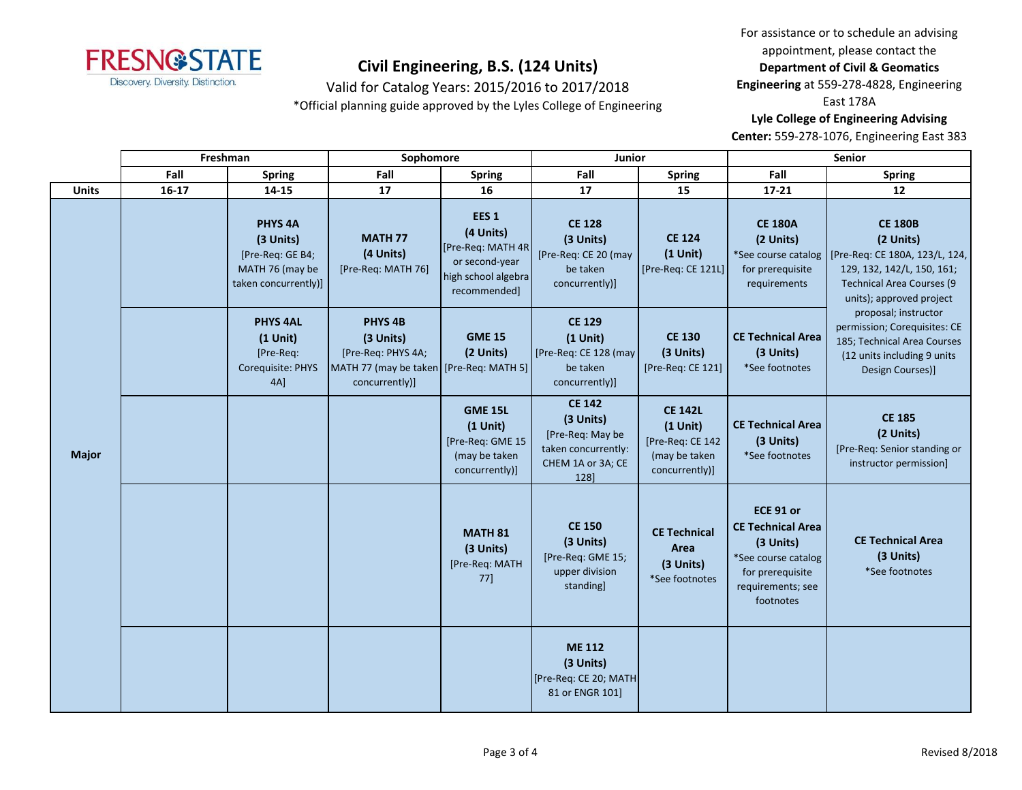

Valid for Catalog Years: 2015/2016 to 2017/2018

\*Official planning guide approved by the Lyles College of Engineering

For assistance or to schedule an advising appointment, please contact the **Department of Civil & Geomatics** 

**Engineering** at 559-278-4828, Engineering

East 178A

**Lyle College of Engineering Advising** 

**Center:** 559-278-1076, Engineering East 383

|              | Freshman |                                                                                                | Sophomore                                                                                                      |                                                                                                             | Junior                                                                                             |                                                                                     | Senior                                                                                                                          |                                                                                                                                                             |  |
|--------------|----------|------------------------------------------------------------------------------------------------|----------------------------------------------------------------------------------------------------------------|-------------------------------------------------------------------------------------------------------------|----------------------------------------------------------------------------------------------------|-------------------------------------------------------------------------------------|---------------------------------------------------------------------------------------------------------------------------------|-------------------------------------------------------------------------------------------------------------------------------------------------------------|--|
|              | Fall     | <b>Spring</b>                                                                                  | Fall                                                                                                           | <b>Spring</b>                                                                                               | Fall                                                                                               | <b>Spring</b>                                                                       | Fall                                                                                                                            | <b>Spring</b>                                                                                                                                               |  |
| <b>Units</b> | $16-17$  | 14-15                                                                                          | 17                                                                                                             | 16                                                                                                          | 17                                                                                                 | 15                                                                                  | $17 - 21$                                                                                                                       | 12                                                                                                                                                          |  |
|              |          | PHYS <sub>4A</sub><br>(3 Units)<br>[Pre-Req: GE B4;<br>MATH 76 (may be<br>taken concurrently)] | <b>MATH 77</b><br>(4 Units)<br>[Pre-Req: MATH 76]                                                              | EES <sub>1</sub><br>(4 Units)<br>[Pre-Req: MATH 4R<br>or second-year<br>high school algebra<br>recommended] | <b>CE 128</b><br>(3 Units)<br>[Pre-Req: CE 20 (may<br>be taken<br>concurrently)]                   | <b>CE 124</b><br>$(1$ Unit)<br>[Pre-Req: CE 121L]                                   | <b>CE 180A</b><br>(2 Units)<br>*See course catalog<br>for prerequisite<br>requirements                                          | <b>CE 180B</b><br>(2 Units)<br>[Pre-Req: CE 180A, 123/L, 124,<br>129, 132, 142/L, 150, 161;<br><b>Technical Area Courses (9</b><br>units); approved project |  |
|              |          | <b>PHYS 4AL</b><br>$(1$ Unit)<br>[Pre-Reg:<br>Corequisite: PHYS<br>4A]                         | <b>PHYS 4B</b><br>(3 Units)<br>[Pre-Req: PHYS 4A;<br>MATH 77 (may be taken [Pre-Req: MATH 5]<br>concurrently)] | <b>GME 15</b><br>(2 Units)                                                                                  | <b>CE 129</b><br>$(1$ Unit)<br>[Pre-Req: CE 128 (may<br>be taken<br>concurrently)]                 | <b>CE 130</b><br>(3 Units)<br>[Pre-Req: CE 121]                                     | <b>CE Technical Area</b><br>(3 Units)<br>*See footnotes                                                                         | proposal; instructor<br>permission; Corequisites: CE<br>185; Technical Area Courses<br>(12 units including 9 units<br>Design Courses)]                      |  |
| <b>Major</b> |          |                                                                                                |                                                                                                                | <b>GME 15L</b><br>$(1$ Unit)<br>[Pre-Req: GME 15<br>(may be taken<br>concurrently)]                         | <b>CE 142</b><br>(3 Units)<br>[Pre-Req: May be<br>taken concurrently:<br>CHEM 1A or 3A; CE<br>128] | <b>CE 142L</b><br>$(1$ Unit)<br>[Pre-Req: CE 142<br>(may be taken<br>concurrently)] | <b>CE Technical Area</b><br>(3 Units)<br>*See footnotes                                                                         | <b>CE 185</b><br>(2 Units)<br>[Pre-Req: Senior standing or<br>instructor permission]                                                                        |  |
|              |          |                                                                                                |                                                                                                                | <b>MATH 81</b><br>(3 Units)<br>[Pre-Req: MATH<br>$77$ ]                                                     | <b>CE 150</b><br>(3 Units)<br>[Pre-Req: GME 15;<br>upper division<br>standing                      | <b>CE Technical</b><br>Area<br>(3 Units)<br>*See footnotes                          | ECE 91 or<br><b>CE Technical Area</b><br>(3 Units)<br>*See course catalog<br>for prerequisite<br>requirements; see<br>footnotes | <b>CE Technical Area</b><br>(3 Units)<br>*See footnotes                                                                                                     |  |
|              |          |                                                                                                |                                                                                                                |                                                                                                             | <b>ME 112</b><br>(3 Units)<br>[Pre-Req: CE 20; MATH<br>81 or ENGR 101]                             |                                                                                     |                                                                                                                                 |                                                                                                                                                             |  |